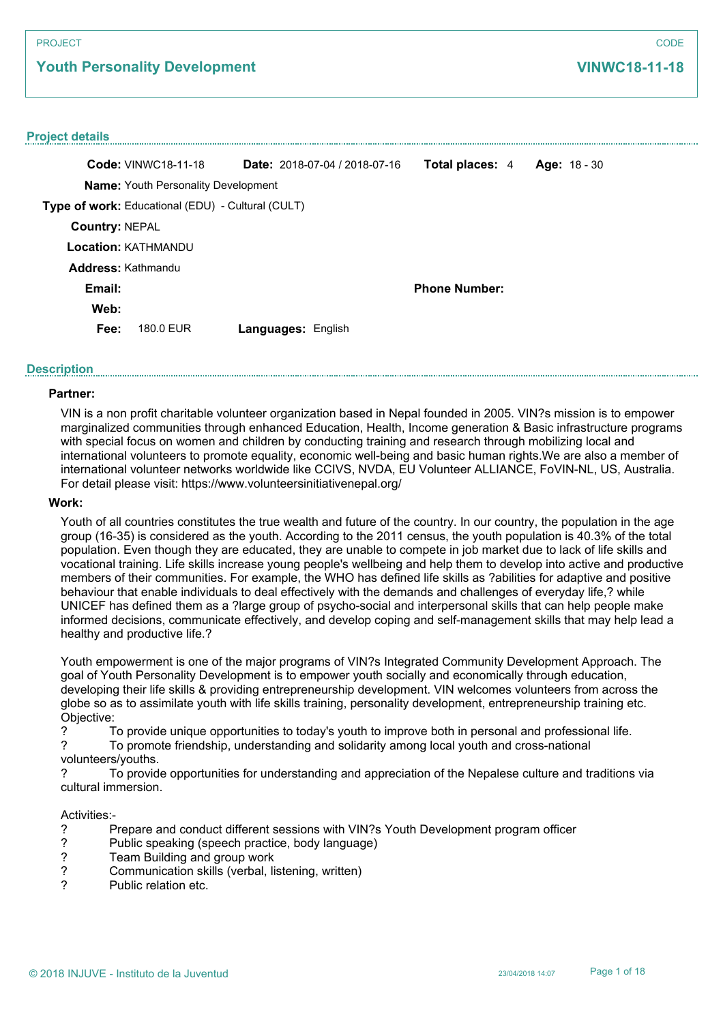**Youth Personality Development**

#### **Project details**

|                       | <b>Code: VINWC18-11-18</b>                        | Date: 2018-07-04 / 2018-07-16 | Total places: 4      | Age: $18 - 30$ |
|-----------------------|---------------------------------------------------|-------------------------------|----------------------|----------------|
|                       | <b>Name:</b> Youth Personality Development        |                               |                      |                |
|                       | Type of work: Educational (EDU) - Cultural (CULT) |                               |                      |                |
| <b>Country: NEPAL</b> |                                                   |                               |                      |                |
|                       | <b>Location: KATHMANDU</b>                        |                               |                      |                |
| Address: Kathmandu    |                                                   |                               |                      |                |
| Email:                |                                                   |                               | <b>Phone Number:</b> |                |
| Web:                  |                                                   |                               |                      |                |
| Fee:                  | 180.0 FUR                                         | <b>Languages: English</b>     |                      |                |

### **Description**

### **Partner:**

VIN is a non profit charitable volunteer organization based in Nepal founded in 2005. VIN?s mission is to empower marginalized communities through enhanced Education, Health, Income generation & Basic infrastructure programs with special focus on women and children by conducting training and research through mobilizing local and international volunteers to promote equality, economic well-being and basic human rights.We are also a member of international volunteer networks worldwide like CCIVS, NVDA, EU Volunteer ALLIANCE, FoVIN-NL, US, Australia. For detail please visit: https://www.volunteersinitiativenepal.org/

### **Work:**

Youth of all countries constitutes the true wealth and future of the country. In our country, the population in the age group (16-35) is considered as the youth. According to the 2011 census, the youth population is 40.3% of the total population. Even though they are educated, they are unable to compete in job market due to lack of life skills and vocational training. Life skills increase young people's wellbeing and help them to develop into active and productive members of their communities. For example, the WHO has defined life skills as ?abilities for adaptive and positive behaviour that enable individuals to deal effectively with the demands and challenges of everyday life,? while UNICEF has defined them as a ?large group of psycho-social and interpersonal skills that can help people make informed decisions, communicate effectively, and develop coping and self-management skills that may help lead a healthy and productive life.?

Youth empowerment is one of the major programs of VIN?s Integrated Community Development Approach. The goal of Youth Personality Development is to empower youth socially and economically through education, developing their life skills & providing entrepreneurship development. VIN welcomes volunteers from across the globe so as to assimilate youth with life skills training, personality development, entrepreneurship training etc. Objective:

? To provide unique opportunities to today's youth to improve both in personal and professional life.

? To promote friendship, understanding and solidarity among local youth and cross-national volunteers/youths.

? To provide opportunities for understanding and appreciation of the Nepalese culture and traditions via cultural immersion.

#### Activities:-

- ? Prepare and conduct different sessions with VIN?s Youth Development program officer
- ? Public speaking (speech practice, body language)
- ? Team Building and group work<br>? Communication skills (verbal. li
- ? Communication skills (verbal, listening, written)
- Public relation etc.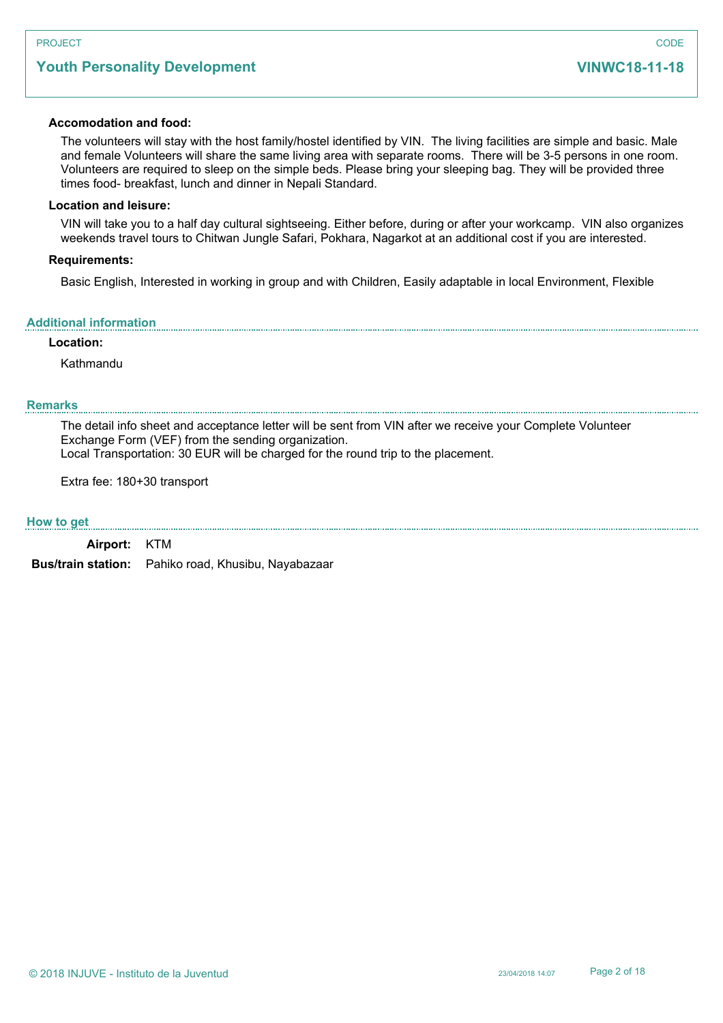# **Youth Personality Development**

#### **Accomodation and food:**

The volunteers will stay with the host family/hostel identified by VIN. The living facilities are simple and basic. Male and female Volunteers will share the same living area with separate rooms. There will be 3-5 persons in one room. Volunteers are required to sleep on the simple beds. Please bring your sleeping bag. They will be provided three times food- breakfast, lunch and dinner in Nepali Standard.

### **Location and leisure:**

VIN will take you to a half day cultural sightseeing. Either before, during or after your workcamp. VIN also organizes weekends travel tours to Chitwan Jungle Safari, Pokhara, Nagarkot at an additional cost if you are interested.

#### **Requirements:**

Basic English, Interested in working in group and with Children, Easily adaptable in local Environment, Flexible

#### **Additional information**

### **Location:**

Kathmandu

### **Remarks**

The detail info sheet and acceptance letter will be sent from VIN after we receive your Complete Volunteer Exchange Form (VEF) from the sending organization. Local Transportation: 30 EUR will be charged for the round trip to the placement.

Extra fee: 180+30 transport

#### **How to get**

**Airport:** KTM

**Bus/train station:** Pahiko road, Khusibu, Nayabazaar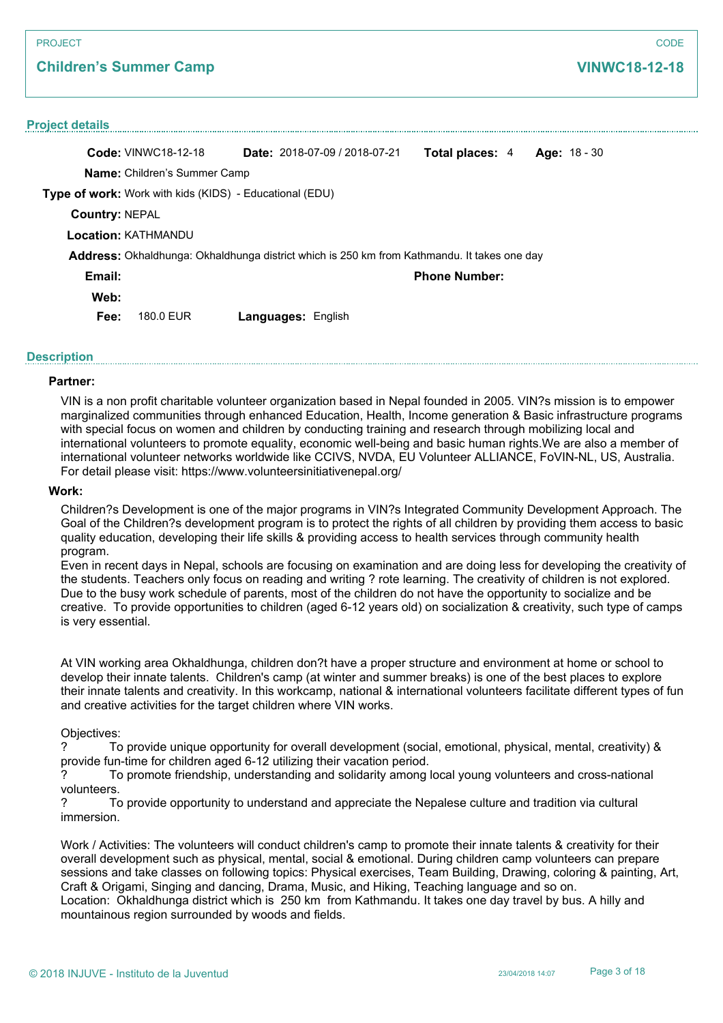#### PROJECT

### **Children's Summer Camp**

#### **Project details**

**Code:** VINWC18-12-18 **Name:** Children's Summer Camp **Type of work:** Work with kids (KIDS) - Educational (EDU) **Date:** 2018-07-09 / 2018-07-21 **Total places:** 4 **Age:** 18 - 30 **Country:** NEPAL **Location:** KATHMANDU **Email: Web: Phone Number: Fee:** 180.0 EUR **Languages:** English **Address:** Okhaldhunga: Okhaldhunga district which is 250 km from Kathmandu. It takes one day

### **Description**

#### **Partner:**

VIN is a non profit charitable volunteer organization based in Nepal founded in 2005. VIN?s mission is to empower marginalized communities through enhanced Education, Health, Income generation & Basic infrastructure programs with special focus on women and children by conducting training and research through mobilizing local and international volunteers to promote equality, economic well-being and basic human rights.We are also a member of international volunteer networks worldwide like CCIVS, NVDA, EU Volunteer ALLIANCE, FoVIN-NL, US, Australia. For detail please visit: https://www.volunteersinitiativenepal.org/

### **Work:**

Children?s Development is one of the major programs in VIN?s Integrated Community Development Approach. The Goal of the Children?s development program is to protect the rights of all children by providing them access to basic quality education, developing their life skills & providing access to health services through community health program.

Even in recent days in Nepal, schools are focusing on examination and are doing less for developing the creativity of the students. Teachers only focus on reading and writing ? rote learning. The creativity of children is not explored. Due to the busy work schedule of parents, most of the children do not have the opportunity to socialize and be creative. To provide opportunities to children (aged 6-12 years old) on socialization & creativity, such type of camps is very essential.

At VIN working area Okhaldhunga, children don?t have a proper structure and environment at home or school to develop their innate talents. Children's camp (at winter and summer breaks) is one of the best places to explore their innate talents and creativity. In this workcamp, national & international volunteers facilitate different types of fun and creative activities for the target children where VIN works.

#### Objectives:

? To provide unique opportunity for overall development (social, emotional, physical, mental, creativity) & provide fun-time for children aged 6-12 utilizing their vacation period.

? To promote friendship, understanding and solidarity among local young volunteers and cross-national volunteers.

? To provide opportunity to understand and appreciate the Nepalese culture and tradition via cultural immersion.

Work / Activities: The volunteers will conduct children's camp to promote their innate talents & creativity for their overall development such as physical, mental, social & emotional. During children camp volunteers can prepare sessions and take classes on following topics: Physical exercises, Team Building, Drawing, coloring & painting, Art, Craft & Origami, Singing and dancing, Drama, Music, and Hiking, Teaching language and so on. Location: Okhaldhunga district which is 250 km from Kathmandu. It takes one day travel by bus. A hilly and mountainous region surrounded by woods and fields.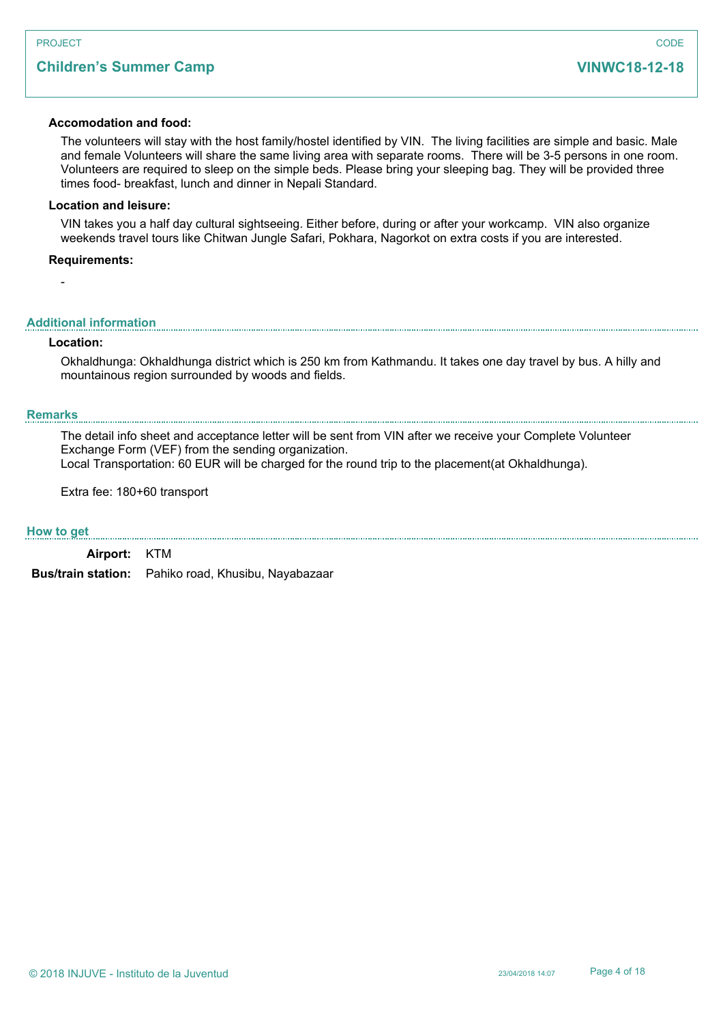# **Children's Summer Camp**

### **Accomodation and food:**

The volunteers will stay with the host family/hostel identified by VIN. The living facilities are simple and basic. Male and female Volunteers will share the same living area with separate rooms. There will be 3-5 persons in one room. Volunteers are required to sleep on the simple beds. Please bring your sleeping bag. They will be provided three times food- breakfast, lunch and dinner in Nepali Standard.

### **Location and leisure:**

VIN takes you a half day cultural sightseeing. Either before, during or after your workcamp. VIN also organize weekends travel tours like Chitwan Jungle Safari, Pokhara, Nagorkot on extra costs if you are interested.

#### **Requirements:**

#### **Additional information**

#### **Location:**

-

Okhaldhunga: Okhaldhunga district which is 250 km from Kathmandu. It takes one day travel by bus. A hilly and mountainous region surrounded by woods and fields.

### **Remarks**

The detail info sheet and acceptance letter will be sent from VIN after we receive your Complete Volunteer Exchange Form (VEF) from the sending organization. Local Transportation: 60 EUR will be charged for the round trip to the placement(at Okhaldhunga).

Extra fee: 180+60 transport

#### **How to get**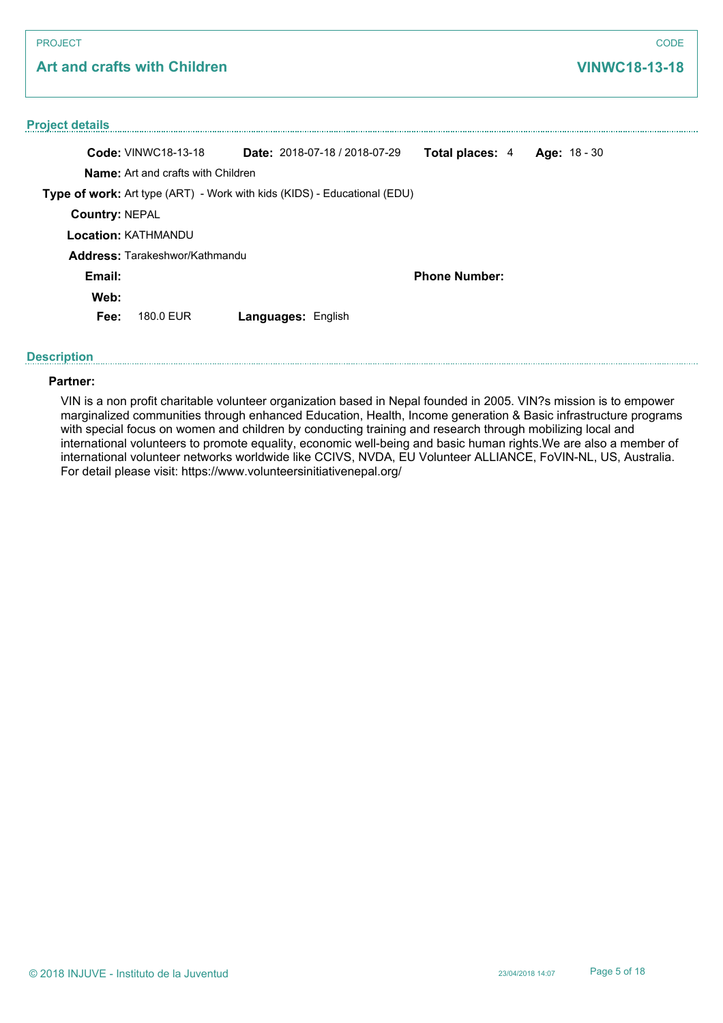# **Art and crafts with Children**

# **Project details Code:** VINWC18-13-18 **Name:** Art and crafts with Children **Type of work:** Art type (ART) - Work with kids (KIDS) - Educational (EDU) **Date:** 2018-07-18 / 2018-07-29 **Total places:** 4 **Age:** 18 - 30 **Country:** NEPAL **Location:** KATHMANDU **Email: Web: Phone Number: Fee:** 180.0 EUR **Languages:** English **Address:** Tarakeshwor/Kathmandu

### **Description**

### **Partner:**

VIN is a non profit charitable volunteer organization based in Nepal founded in 2005. VIN?s mission is to empower marginalized communities through enhanced Education, Health, Income generation & Basic infrastructure programs with special focus on women and children by conducting training and research through mobilizing local and international volunteers to promote equality, economic well-being and basic human rights.We are also a member of international volunteer networks worldwide like CCIVS, NVDA, EU Volunteer ALLIANCE, FoVIN-NL, US, Australia. For detail please visit: https://www.volunteersinitiativenepal.org/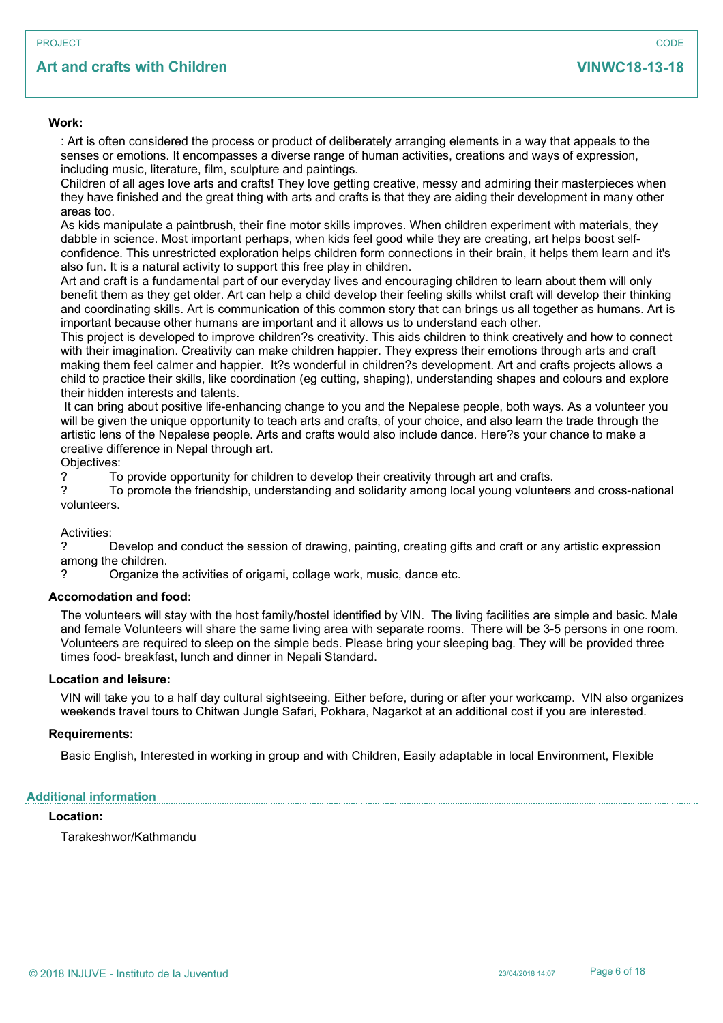# **Art and crafts with Children**

#### **Work:**

: Art is often considered the process or product of deliberately arranging elements in a way that appeals to the senses or emotions. It encompasses a diverse range of human activities, creations and ways of expression, including music, literature, film, sculpture and paintings.

Children of all ages love arts and crafts! They love getting creative, messy and admiring their masterpieces when they have finished and the great thing with arts and crafts is that they are aiding their development in many other areas too.

As kids manipulate a paintbrush, their fine motor skills improves. When children experiment with materials, they dabble in science. Most important perhaps, when kids feel good while they are creating, art helps boost selfconfidence. This unrestricted exploration helps children form connections in their brain, it helps them learn and it's also fun. It is a natural activity to support this free play in children.

Art and craft is a fundamental part of our everyday lives and encouraging children to learn about them will only benefit them as they get older. Art can help a child develop their feeling skills whilst craft will develop their thinking and coordinating skills. Art is communication of this common story that can brings us all together as humans. Art is important because other humans are important and it allows us to understand each other.

This project is developed to improve children?s creativity. This aids children to think creatively and how to connect with their imagination. Creativity can make children happier. They express their emotions through arts and craft making them feel calmer and happier. It?s wonderful in children?s development. Art and crafts projects allows a child to practice their skills, like coordination (eg cutting, shaping), understanding shapes and colours and explore their hidden interests and talents.

 It can bring about positive life-enhancing change to you and the Nepalese people, both ways. As a volunteer you will be given the unique opportunity to teach arts and crafts, of your choice, and also learn the trade through the artistic lens of the Nepalese people. Arts and crafts would also include dance. Here?s your chance to make a creative difference in Nepal through art.

Objectives:

? To provide opportunity for children to develop their creativity through art and crafts.

? To promote the friendship, understanding and solidarity among local young volunteers and cross-national volunteers.

Activities:

? Develop and conduct the session of drawing, painting, creating gifts and craft or any artistic expression among the children.

? Organize the activities of origami, collage work, music, dance etc.

#### **Accomodation and food:**

The volunteers will stay with the host family/hostel identified by VIN. The living facilities are simple and basic. Male and female Volunteers will share the same living area with separate rooms. There will be 3-5 persons in one room. Volunteers are required to sleep on the simple beds. Please bring your sleeping bag. They will be provided three times food- breakfast, lunch and dinner in Nepali Standard.

#### **Location and leisure:**

VIN will take you to a half day cultural sightseeing. Either before, during or after your workcamp. VIN also organizes weekends travel tours to Chitwan Jungle Safari, Pokhara, Nagarkot at an additional cost if you are interested.

#### **Requirements:**

Basic English, Interested in working in group and with Children, Easily adaptable in local Environment, Flexible

#### **Additional information**

#### **Location:**

Tarakeshwor/Kathmandu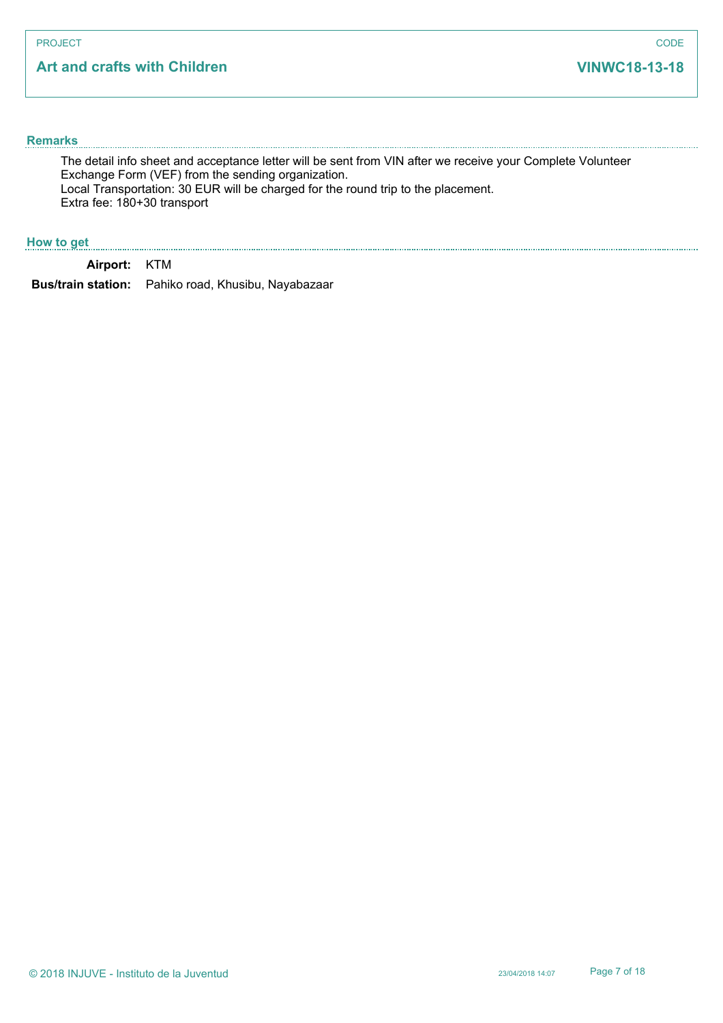# **Art and crafts with Children**

#### **Remarks**

The detail info sheet and acceptance letter will be sent from VIN after we receive your Complete Volunteer Exchange Form (VEF) from the sending organization. Local Transportation: 30 EUR will be charged for the round trip to the placement. Extra fee: 180+30 transport

### **How to get**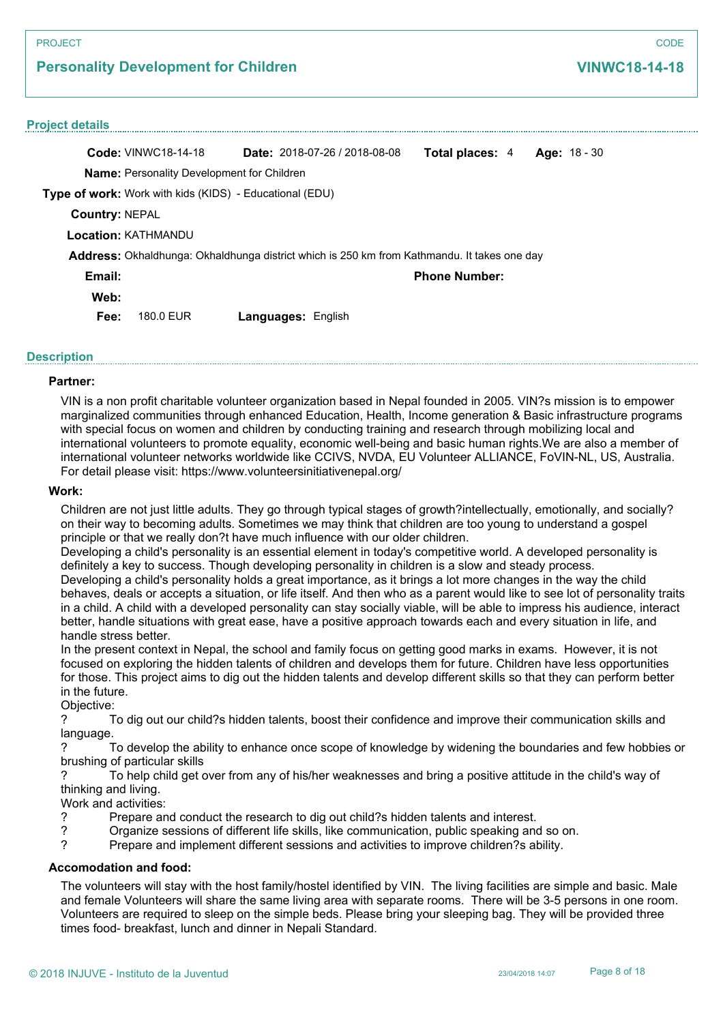# **Personality Development for Children**

#### **Project details**

**Code:** VINWC18-14-18 **Name:** Personality Development for Children **Type of work:** Work with kids (KIDS) - Educational (EDU) **Date:** 2018-07-26 / 2018-08-08 **Total places:** 4 **Age:** 18 - 30 **Country:** NEPAL **Location:** KATHMANDU **Email: Web: Phone Number: Fee:** 180.0 EUR **Languages:** English **Address:** Okhaldhunga: Okhaldhunga district which is 250 km from Kathmandu. It takes one day

### **Description**

#### **Partner:**

VIN is a non profit charitable volunteer organization based in Nepal founded in 2005. VIN?s mission is to empower marginalized communities through enhanced Education, Health, Income generation & Basic infrastructure programs with special focus on women and children by conducting training and research through mobilizing local and international volunteers to promote equality, economic well-being and basic human rights.We are also a member of international volunteer networks worldwide like CCIVS, NVDA, EU Volunteer ALLIANCE, FoVIN-NL, US, Australia. For detail please visit: https://www.volunteersinitiativenepal.org/

#### **Work:**

Children are not just little adults. They go through typical stages of growth?intellectually, emotionally, and socially? on their way to becoming adults. Sometimes we may think that children are too young to understand a gospel principle or that we really don?t have much influence with our older children.

Developing a child's personality is an essential element in today's competitive world. A developed personality is definitely a key to success. Though developing personality in children is a slow and steady process.

Developing a child's personality holds a great importance, as it brings a lot more changes in the way the child behaves, deals or accepts a situation, or life itself. And then who as a parent would like to see lot of personality traits in a child. A child with a developed personality can stay socially viable, will be able to impress his audience, interact better, handle situations with great ease, have a positive approach towards each and every situation in life, and handle stress better.

In the present context in Nepal, the school and family focus on getting good marks in exams. However, it is not focused on exploring the hidden talents of children and develops them for future. Children have less opportunities for those. This project aims to dig out the hidden talents and develop different skills so that they can perform better in the future.

Objective:

? To dig out our child?s hidden talents, boost their confidence and improve their communication skills and language.

? To develop the ability to enhance once scope of knowledge by widening the boundaries and few hobbies or brushing of particular skills

? To help child get over from any of his/her weaknesses and bring a positive attitude in the child's way of thinking and living.

Work and activities:

- Prepare and conduct the research to dig out child?s hidden talents and interest.<br>
Proposition of different life skills, like communication, public speaking and
- ? Organize sessions of different life skills, like communication, public speaking and so on.<br>
Prepare and implement different sessions and activities to improve children?s ability.
- ? Prepare and implement different sessions and activities to improve children?s ability.

#### **Accomodation and food:**

The volunteers will stay with the host family/hostel identified by VIN. The living facilities are simple and basic. Male and female Volunteers will share the same living area with separate rooms. There will be 3-5 persons in one room. Volunteers are required to sleep on the simple beds. Please bring your sleeping bag. They will be provided three times food- breakfast, lunch and dinner in Nepali Standard.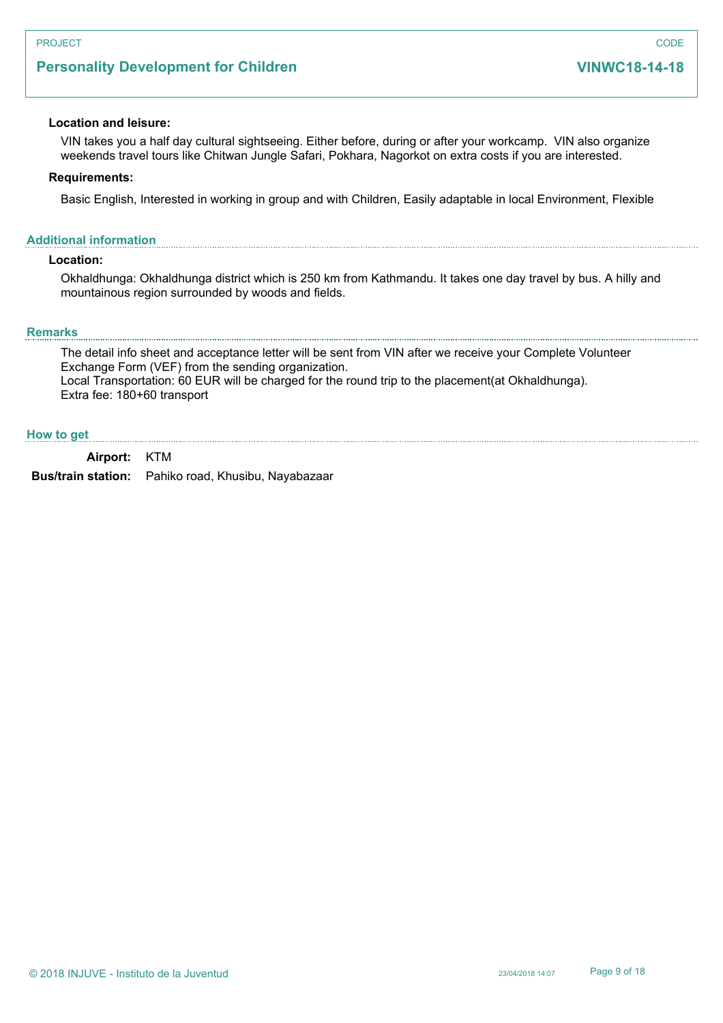# **Personality Development for Children**

#### **Location and leisure:**

VIN takes you a half day cultural sightseeing. Either before, during or after your workcamp. VIN also organize weekends travel tours like Chitwan Jungle Safari, Pokhara, Nagorkot on extra costs if you are interested.

#### **Requirements:**

Basic English, Interested in working in group and with Children, Easily adaptable in local Environment, Flexible

#### **Additional information**

### **Location:**

Okhaldhunga: Okhaldhunga district which is 250 km from Kathmandu. It takes one day travel by bus. A hilly and mountainous region surrounded by woods and fields.

#### **Remarks**

The detail info sheet and acceptance letter will be sent from VIN after we receive your Complete Volunteer Exchange Form (VEF) from the sending organization. Local Transportation: 60 EUR will be charged for the round trip to the placement(at Okhaldhunga). Extra fee: 180+60 transport

#### **How to get**

**Airport:** KTM

**Bus/train station:** Pahiko road, Khusibu, Nayabazaar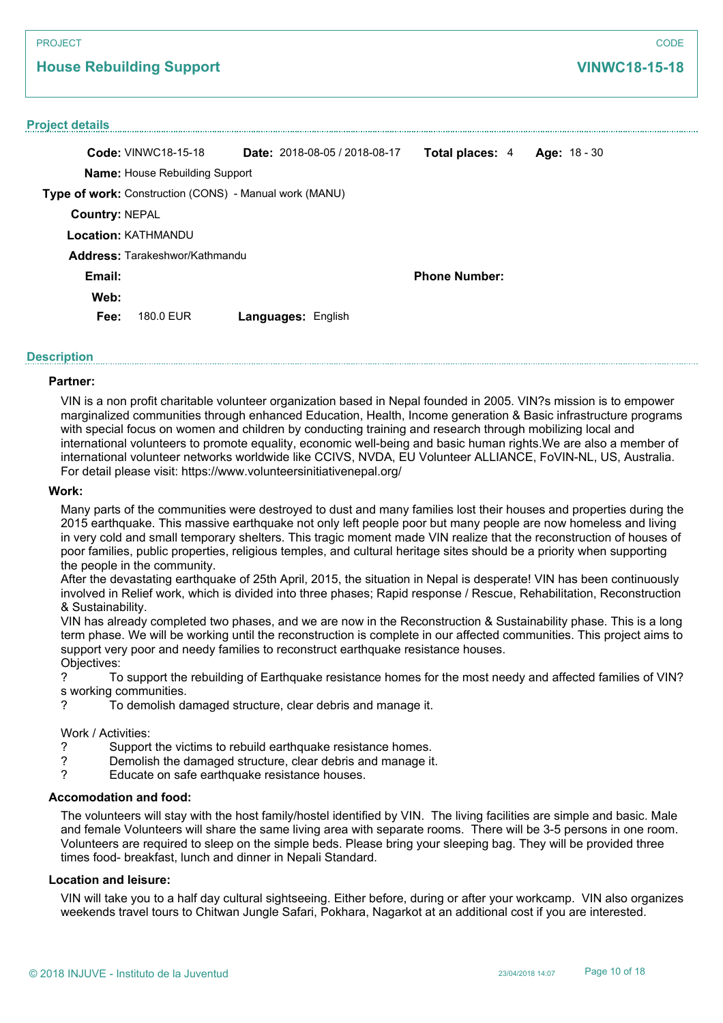# **House Rebuilding Support**

#### **Project details**

|                       | <b>Code: VINWC18-15-18</b>                                    | <b>Date:</b> 2018-08-05 / 2018-08-17 | Total places: 4      | Age: $18 - 30$ |
|-----------------------|---------------------------------------------------------------|--------------------------------------|----------------------|----------------|
|                       | <b>Name:</b> House Rebuilding Support                         |                                      |                      |                |
|                       | <b>Type of work:</b> Construction (CONS) - Manual work (MANU) |                                      |                      |                |
| <b>Country: NEPAL</b> |                                                               |                                      |                      |                |
|                       | <b>Location: KATHMANDU</b>                                    |                                      |                      |                |
|                       | <b>Address: Tarakeshwor/Kathmandul</b>                        |                                      |                      |                |
| Email:                |                                                               |                                      | <b>Phone Number:</b> |                |
| Web:                  |                                                               |                                      |                      |                |
| Fee:                  | 180.0 EUR                                                     | <b>Languages: English</b>            |                      |                |

### **Description**

#### **Partner:**

VIN is a non profit charitable volunteer organization based in Nepal founded in 2005. VIN?s mission is to empower marginalized communities through enhanced Education, Health, Income generation & Basic infrastructure programs with special focus on women and children by conducting training and research through mobilizing local and international volunteers to promote equality, economic well-being and basic human rights.We are also a member of international volunteer networks worldwide like CCIVS, NVDA, EU Volunteer ALLIANCE, FoVIN-NL, US, Australia. For detail please visit: https://www.volunteersinitiativenepal.org/

#### **Work:**

Many parts of the communities were destroyed to dust and many families lost their houses and properties during the 2015 earthquake. This massive earthquake not only left people poor but many people are now homeless and living in very cold and small temporary shelters. This tragic moment made VIN realize that the reconstruction of houses of poor families, public properties, religious temples, and cultural heritage sites should be a priority when supporting the people in the community.

After the devastating earthquake of 25th April, 2015, the situation in Nepal is desperate! VIN has been continuously involved in Relief work, which is divided into three phases; Rapid response / Rescue, Rehabilitation, Reconstruction & Sustainability.

VIN has already completed two phases, and we are now in the Reconstruction & Sustainability phase. This is a long term phase. We will be working until the reconstruction is complete in our affected communities. This project aims to support very poor and needy families to reconstruct earthquake resistance houses. Objectives:

? To support the rebuilding of Earthquake resistance homes for the most needy and affected families of VIN? s working communities.

? To demolish damaged structure, clear debris and manage it.

#### Work / Activities:

- ? Support the victims to rebuild earthquake resistance homes.
- ? Demolish the damaged structure, clear debris and manage it.<br>
Prince the part on safe earthquake resistance houses
- Educate on safe earthquake resistance houses.

### **Accomodation and food:**

The volunteers will stay with the host family/hostel identified by VIN. The living facilities are simple and basic. Male and female Volunteers will share the same living area with separate rooms. There will be 3-5 persons in one room. Volunteers are required to sleep on the simple beds. Please bring your sleeping bag. They will be provided three times food- breakfast, lunch and dinner in Nepali Standard.

#### **Location and leisure:**

VIN will take you to a half day cultural sightseeing. Either before, during or after your workcamp. VIN also organizes weekends travel tours to Chitwan Jungle Safari, Pokhara, Nagarkot at an additional cost if you are interested.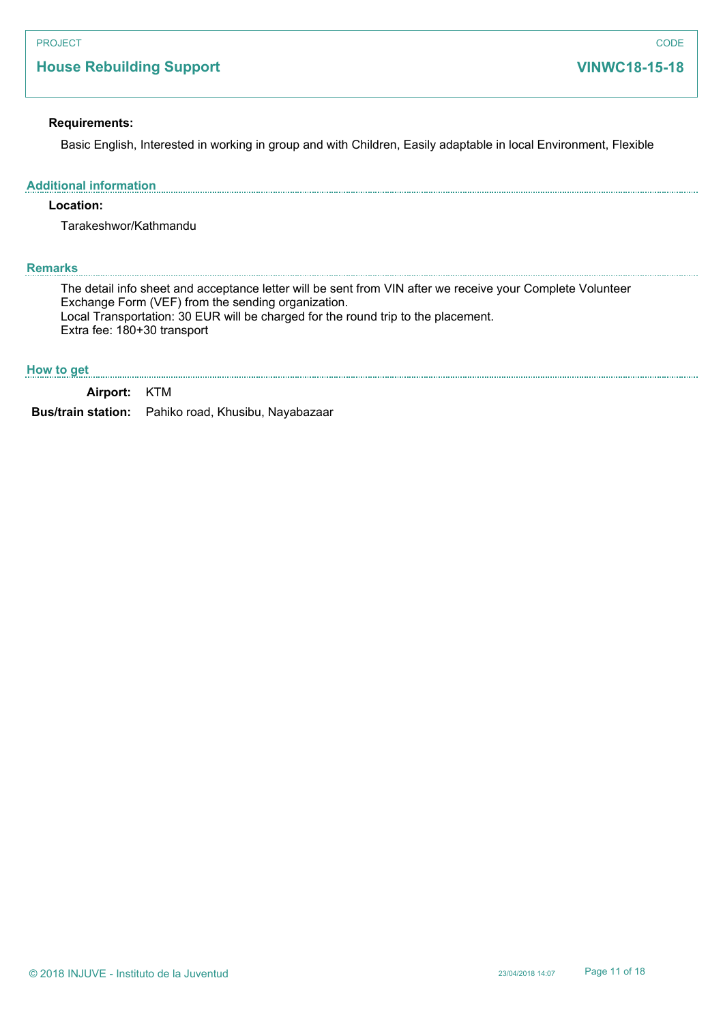# **House Rebuilding Support**

### **Requirements:**

Basic English, Interested in working in group and with Children, Easily adaptable in local Environment, Flexible

#### **Additional information**

### **Location:**

Tarakeshwor/Kathmandu

### **Remarks**

The detail info sheet and acceptance letter will be sent from VIN after we receive your Complete Volunteer Exchange Form (VEF) from the sending organization. Local Transportation: 30 EUR will be charged for the round trip to the placement. Extra fee: 180+30 transport

#### **How to get**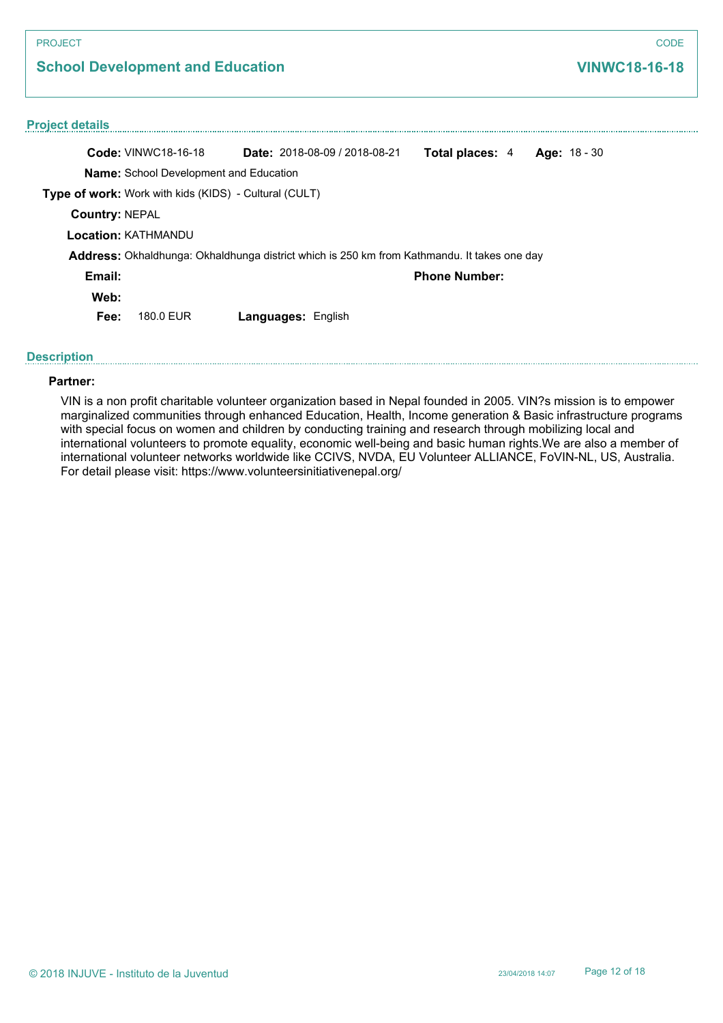| <b>PROJECT</b>                                               |                                                                                             | <b>CODE</b>                  |
|--------------------------------------------------------------|---------------------------------------------------------------------------------------------|------------------------------|
| <b>School Development and Education</b>                      | <b>VINWC18-16-18</b>                                                                        |                              |
| <b>Project details</b>                                       |                                                                                             |                              |
| <b>Code: VINWC18-16-18</b>                                   | Date: 2018-08-09 / 2018-08-21                                                               | Total places: 4 Age: 18 - 30 |
| Name: School Development and Education                       |                                                                                             |                              |
| <b>Type of work:</b> Work with kids (KIDS) - Cultural (CULT) |                                                                                             |                              |
| <b>Country: NEPAL</b>                                        |                                                                                             |                              |
| <b>Location: KATHMANDU</b>                                   |                                                                                             |                              |
|                                                              | Address: Okhaldhunga: Okhaldhunga district which is 250 km from Kathmandu. It takes one day |                              |
| Email:                                                       |                                                                                             | <b>Phone Number:</b>         |
| Web:                                                         |                                                                                             |                              |
| 180.0 EUR<br>Fee:                                            | <b>Languages: English</b>                                                                   |                              |

### **Description**

### **Partner:**

VIN is a non profit charitable volunteer organization based in Nepal founded in 2005. VIN?s mission is to empower marginalized communities through enhanced Education, Health, Income generation & Basic infrastructure programs with special focus on women and children by conducting training and research through mobilizing local and international volunteers to promote equality, economic well-being and basic human rights.We are also a member of international volunteer networks worldwide like CCIVS, NVDA, EU Volunteer ALLIANCE, FoVIN-NL, US, Australia. For detail please visit: https://www.volunteersinitiativenepal.org/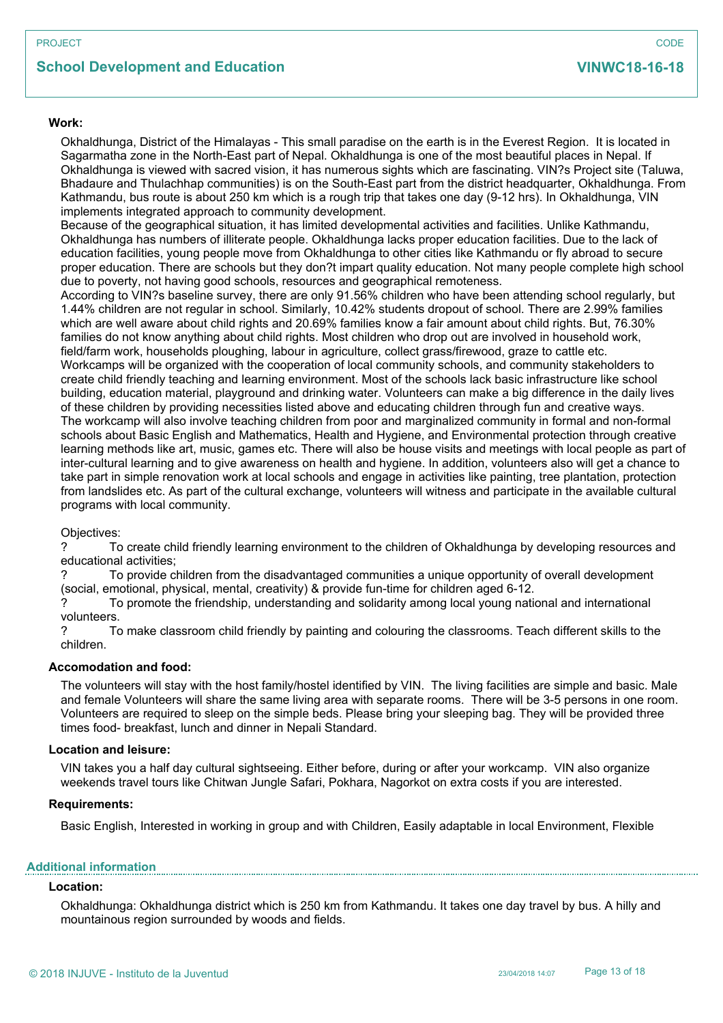# **School Development and Education**

### **Work:**

Okhaldhunga, District of the Himalayas - This small paradise on the earth is in the Everest Region. It is located in Sagarmatha zone in the North-East part of Nepal. Okhaldhunga is one of the most beautiful places in Nepal. If Okhaldhunga is viewed with sacred vision, it has numerous sights which are fascinating. VIN?s Project site (Taluwa, Bhadaure and Thulachhap communities) is on the South-East part from the district headquarter, Okhaldhunga. From Kathmandu, bus route is about 250 km which is a rough trip that takes one day (9-12 hrs). In Okhaldhunga, VIN implements integrated approach to community development.

Because of the geographical situation, it has limited developmental activities and facilities. Unlike Kathmandu, Okhaldhunga has numbers of illiterate people. Okhaldhunga lacks proper education facilities. Due to the lack of education facilities, young people move from Okhaldhunga to other cities like Kathmandu or fly abroad to secure proper education. There are schools but they don?t impart quality education. Not many people complete high school due to poverty, not having good schools, resources and geographical remoteness.

According to VIN?s baseline survey, there are only 91.56% children who have been attending school regularly, but 1.44% children are not regular in school. Similarly, 10.42% students dropout of school. There are 2.99% families which are well aware about child rights and 20.69% families know a fair amount about child rights. But, 76.30% families do not know anything about child rights. Most children who drop out are involved in household work, field/farm work, households ploughing, labour in agriculture, collect grass/firewood, graze to cattle etc. Workcamps will be organized with the cooperation of local community schools, and community stakeholders to create child friendly teaching and learning environment. Most of the schools lack basic infrastructure like school building, education material, playground and drinking water. Volunteers can make a big difference in the daily lives of these children by providing necessities listed above and educating children through fun and creative ways. The workcamp will also involve teaching children from poor and marginalized community in formal and non-formal schools about Basic English and Mathematics, Health and Hygiene, and Environmental protection through creative learning methods like art, music, games etc. There will also be house visits and meetings with local people as part of inter-cultural learning and to give awareness on health and hygiene. In addition, volunteers also will get a chance to take part in simple renovation work at local schools and engage in activities like painting, tree plantation, protection from landslides etc. As part of the cultural exchange, volunteers will witness and participate in the available cultural programs with local community.

Objectives:

? To create child friendly learning environment to the children of Okhaldhunga by developing resources and educational activities;

? To provide children from the disadvantaged communities a unique opportunity of overall development (social, emotional, physical, mental, creativity) & provide fun-time for children aged 6-12.

? To promote the friendship, understanding and solidarity among local young national and international volunteers.

? To make classroom child friendly by painting and colouring the classrooms. Teach different skills to the children.

#### **Accomodation and food:**

The volunteers will stay with the host family/hostel identified by VIN. The living facilities are simple and basic. Male and female Volunteers will share the same living area with separate rooms. There will be 3-5 persons in one room. Volunteers are required to sleep on the simple beds. Please bring your sleeping bag. They will be provided three times food- breakfast, lunch and dinner in Nepali Standard.

#### **Location and leisure:**

VIN takes you a half day cultural sightseeing. Either before, during or after your workcamp. VIN also organize weekends travel tours like Chitwan Jungle Safari, Pokhara, Nagorkot on extra costs if you are interested.

#### **Requirements:**

Basic English, Interested in working in group and with Children, Easily adaptable in local Environment, Flexible

#### **Additional information**

### **Location:**

Okhaldhunga: Okhaldhunga district which is 250 km from Kathmandu. It takes one day travel by bus. A hilly and mountainous region surrounded by woods and fields.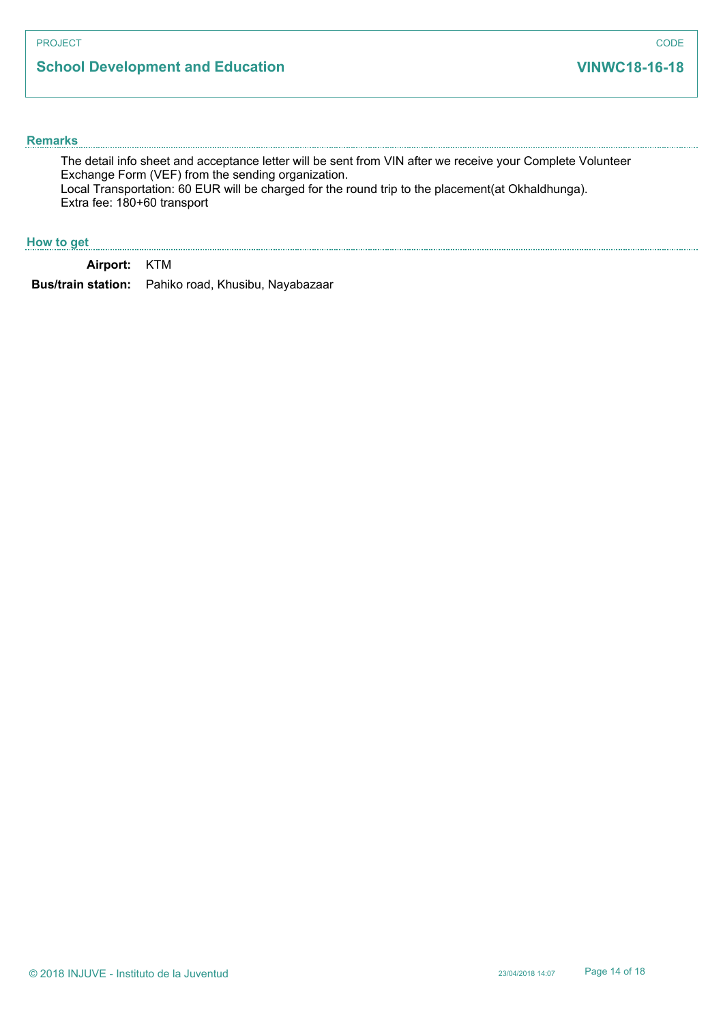# **School Development and Education**

#### **Remarks**

The detail info sheet and acceptance letter will be sent from VIN after we receive your Complete Volunteer Exchange Form (VEF) from the sending organization. Local Transportation: 60 EUR will be charged for the round trip to the placement(at Okhaldhunga). Extra fee: 180+60 transport

### **How to get**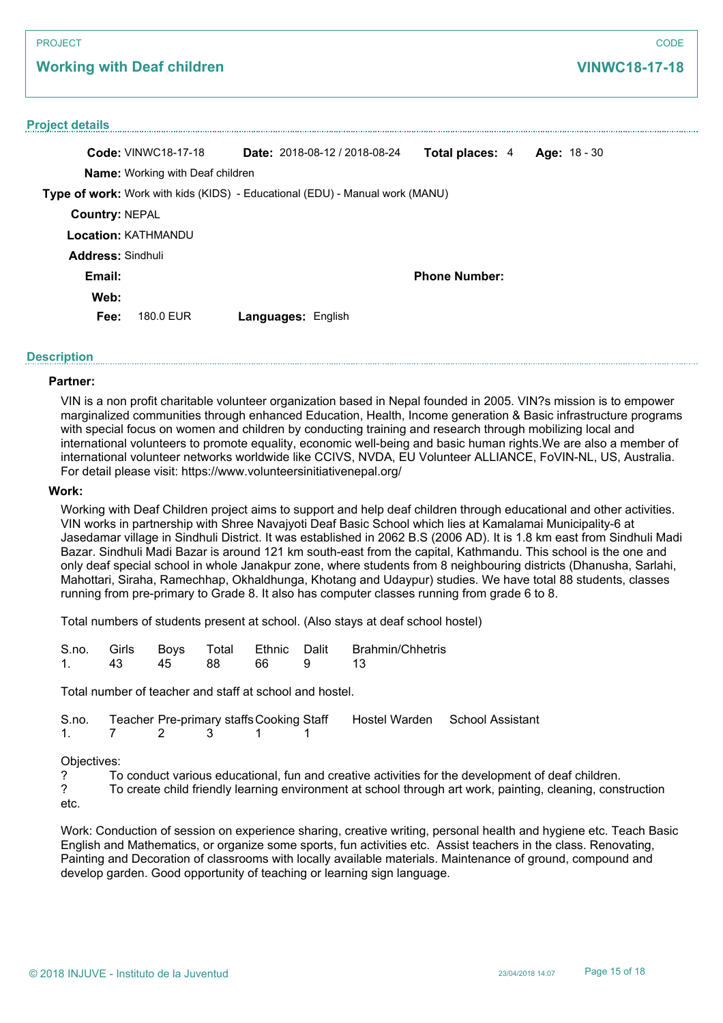# **Working with Deaf children**

### **Project details**

|                          | <b>Code: VINWC18-17-18</b>              |                           | Date: 2018-08-12 / 2018-08-24                                                | Total places: 4      | Age: $18 - 30$ |  |
|--------------------------|-----------------------------------------|---------------------------|------------------------------------------------------------------------------|----------------------|----------------|--|
|                          | <b>Name:</b> Working with Deaf children |                           |                                                                              |                      |                |  |
|                          |                                         |                           | Type of work: Work with kids (KIDS) - Educational (EDU) - Manual work (MANU) |                      |                |  |
| <b>Country: NEPAL</b>    |                                         |                           |                                                                              |                      |                |  |
|                          | <b>Location: KATHMANDU</b>              |                           |                                                                              |                      |                |  |
| <b>Address: Sindhuli</b> |                                         |                           |                                                                              |                      |                |  |
| Email:                   |                                         |                           |                                                                              | <b>Phone Number:</b> |                |  |
| Web:                     |                                         |                           |                                                                              |                      |                |  |
| Fee:                     | 180.0 EUR                               | <b>Languages: English</b> |                                                                              |                      |                |  |

#### **Description**

#### **Partner:**

VIN is a non profit charitable volunteer organization based in Nepal founded in 2005. VIN?s mission is to empower marginalized communities through enhanced Education, Health, Income generation & Basic infrastructure programs with special focus on women and children by conducting training and research through mobilizing local and international volunteers to promote equality, economic well-being and basic human rights.We are also a member of international volunteer networks worldwide like CCIVS, NVDA, EU Volunteer ALLIANCE, FoVIN-NL, US, Australia. For detail please visit: https://www.volunteersinitiativenepal.org/

#### **Work:**

Working with Deaf Children project aims to support and help deaf children through educational and other activities. VIN works in partnership with Shree Navajyoti Deaf Basic School which lies at Kamalamai Municipality-6 at Jasedamar village in Sindhuli District. It was established in 2062 B.S (2006 AD). It is 1.8 km east from Sindhuli Madi Bazar. Sindhuli Madi Bazar is around 121 km south-east from the capital, Kathmandu. This school is the one and only deaf special school in whole Janakpur zone, where students from 8 neighbouring districts (Dhanusha, Sarlahi, Mahottari, Siraha, Ramechhap, Okhaldhunga, Khotang and Udaypur) studies. We have total 88 students, classes running from pre-primary to Grade 8. It also has computer classes running from grade 6 to 8.

Total numbers of students present at school. (Also stays at deaf school hostel)

|  |  |                     | S.no. Girls Boys Total Ethnic Dalit Brahmin/Chhetris |
|--|--|---------------------|------------------------------------------------------|
|  |  | 1. 43 45 88 66 9 13 |                                                      |

Total number of teacher and staff at school and hostel.

|  |              |  | S.no. Teacher Pre-primary staffs Cooking Staff Hostel Warden School Assistant |  |
|--|--------------|--|-------------------------------------------------------------------------------|--|
|  | 1. 7 2 3 1 1 |  |                                                                               |  |

#### Objectives:

? To conduct various educational, fun and creative activities for the development of deaf children.

? To create child friendly learning environment at school through art work, painting, cleaning, construction etc.

Work: Conduction of session on experience sharing, creative writing, personal health and hygiene etc. Teach Basic English and Mathematics, or organize some sports, fun activities etc. Assist teachers in the class. Renovating, Painting and Decoration of classrooms with locally available materials. Maintenance of ground, compound and develop garden. Good opportunity of teaching or learning sign language.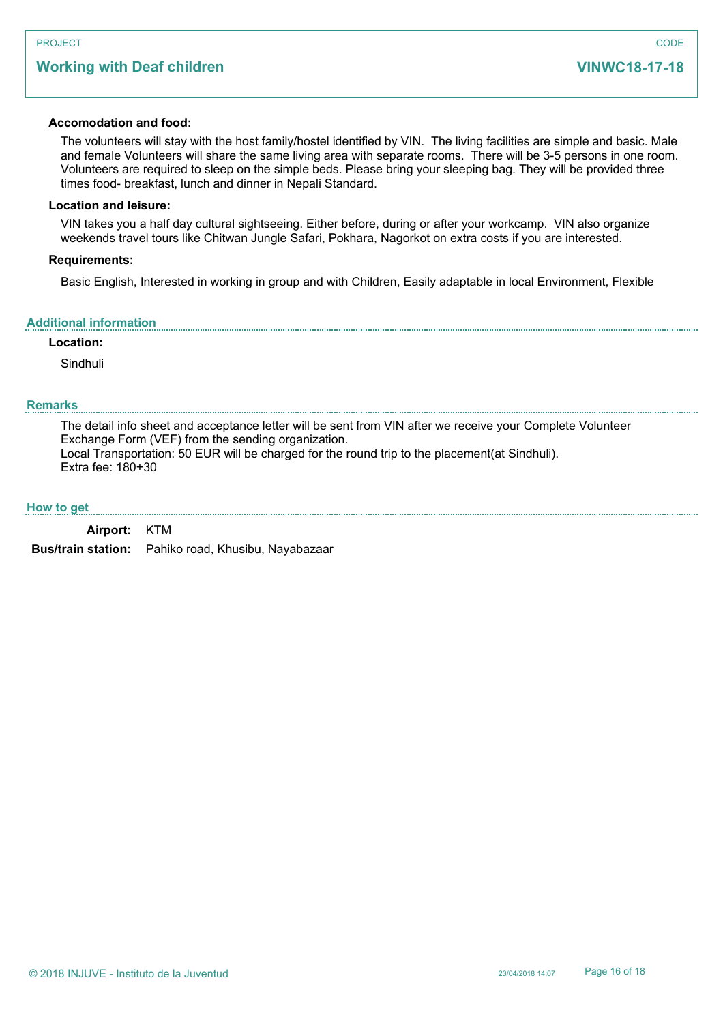# **Working with Deaf children**

### **Accomodation and food:**

The volunteers will stay with the host family/hostel identified by VIN. The living facilities are simple and basic. Male and female Volunteers will share the same living area with separate rooms. There will be 3-5 persons in one room. Volunteers are required to sleep on the simple beds. Please bring your sleeping bag. They will be provided three times food- breakfast, lunch and dinner in Nepali Standard.

### **Location and leisure:**

VIN takes you a half day cultural sightseeing. Either before, during or after your workcamp. VIN also organize weekends travel tours like Chitwan Jungle Safari, Pokhara, Nagorkot on extra costs if you are interested.

#### **Requirements:**

Basic English, Interested in working in group and with Children, Easily adaptable in local Environment, Flexible

#### **Additional information**

#### **Location:**

Sindhuli

### **Remarks**

The detail info sheet and acceptance letter will be sent from VIN after we receive your Complete Volunteer Exchange Form (VEF) from the sending organization. Local Transportation: 50 EUR will be charged for the round trip to the placement(at Sindhuli). Extra fee: 180+30

#### **How to get**

| Airport: KTM |                                                            |
|--------------|------------------------------------------------------------|
|              | <b>Bus/train station:</b> Pahiko road, Khusibu, Nayabazaar |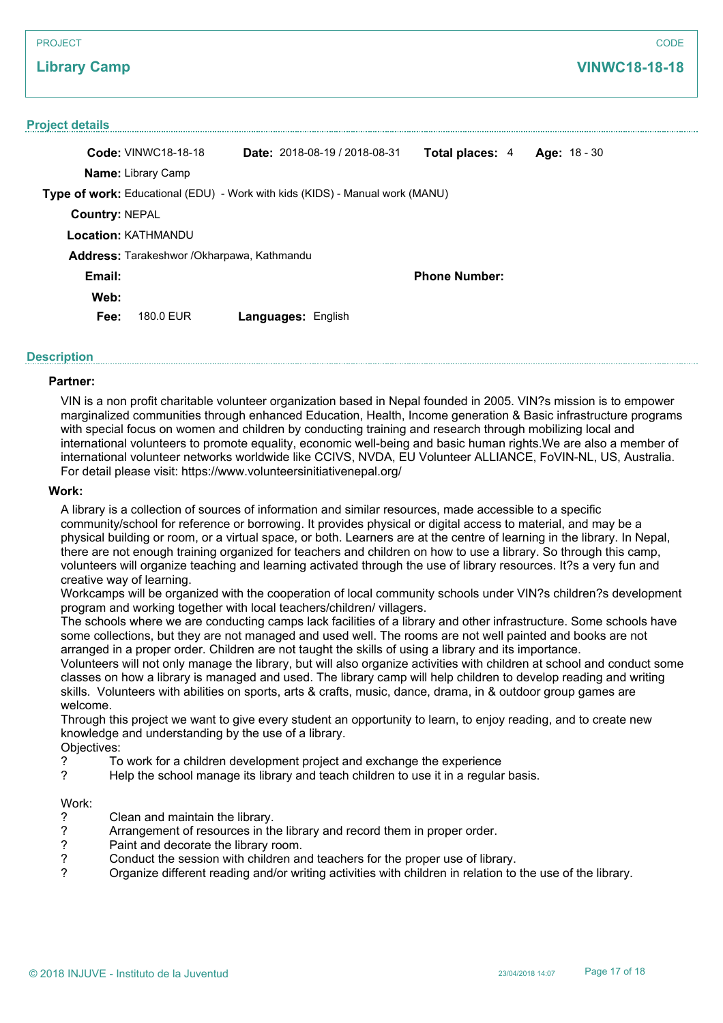#### PROJECT

## **Library Camp**

#### **Project details**

| <b>Code: VINWC18-18-18</b>                                                          | <b>Date:</b> 2018-08-19 / 2018-08-31 | <b>Total places: 4</b> | Age: $18 - 30$ |
|-------------------------------------------------------------------------------------|--------------------------------------|------------------------|----------------|
| <b>Name:</b> Library Camp                                                           |                                      |                        |                |
| <b>Type of work:</b> Educational (EDU) - Work with kids (KIDS) - Manual work (MANU) |                                      |                        |                |
| <b>Country: NEPAL</b>                                                               |                                      |                        |                |
| <b>Location: KATHMANDU</b>                                                          |                                      |                        |                |
| Address: Tarakeshwor /Okharpawa, Kathmandu                                          |                                      |                        |                |
| Email:                                                                              |                                      | <b>Phone Number:</b>   |                |
| Web:                                                                                |                                      |                        |                |
| Fee:<br>180.0 EUR                                                                   | <b>Languages: English</b>            |                        |                |

### **Description**

#### **Partner:**

VIN is a non profit charitable volunteer organization based in Nepal founded in 2005. VIN?s mission is to empower marginalized communities through enhanced Education, Health, Income generation & Basic infrastructure programs with special focus on women and children by conducting training and research through mobilizing local and international volunteers to promote equality, economic well-being and basic human rights.We are also a member of international volunteer networks worldwide like CCIVS, NVDA, EU Volunteer ALLIANCE, FoVIN-NL, US, Australia. For detail please visit: https://www.volunteersinitiativenepal.org/

### **Work:**

A library is a collection of sources of information and similar resources, made accessible to a specific community/school for reference or borrowing. It provides physical or digital access to material, and may be a physical building or room, or a virtual space, or both. Learners are at the centre of learning in the library. In Nepal, there are not enough training organized for teachers and children on how to use a library. So through this camp, volunteers will organize teaching and learning activated through the use of library resources. It?s a very fun and creative way of learning.

Workcamps will be organized with the cooperation of local community schools under VIN?s children?s development program and working together with local teachers/children/ villagers.

The schools where we are conducting camps lack facilities of a library and other infrastructure. Some schools have some collections, but they are not managed and used well. The rooms are not well painted and books are not arranged in a proper order. Children are not taught the skills of using a library and its importance.

Volunteers will not only manage the library, but will also organize activities with children at school and conduct some classes on how a library is managed and used. The library camp will help children to develop reading and writing skills. Volunteers with abilities on sports, arts & crafts, music, dance, drama, in & outdoor group games are welcome.

Through this project we want to give every student an opportunity to learn, to enjoy reading, and to create new knowledge and understanding by the use of a library.

# Objectives:<br>
? To

- ? To work for a children development project and exchange the experience
- ? Help the school manage its library and teach children to use it in a regular basis.

# Work:<br>?

- ? Clean and maintain the library.<br>
Parrangement of resources in the
- Prace arrangement of resources in the library and record them in proper order.<br>
Paint and decorate the library room.
- ? Paint and decorate the library room.
- ? Conduct the session with children and teachers for the proper use of library.<br>Croanize different reading and/or writing activities with children in relation to
- ? Organize different reading and/or writing activities with children in relation to the use of the library.